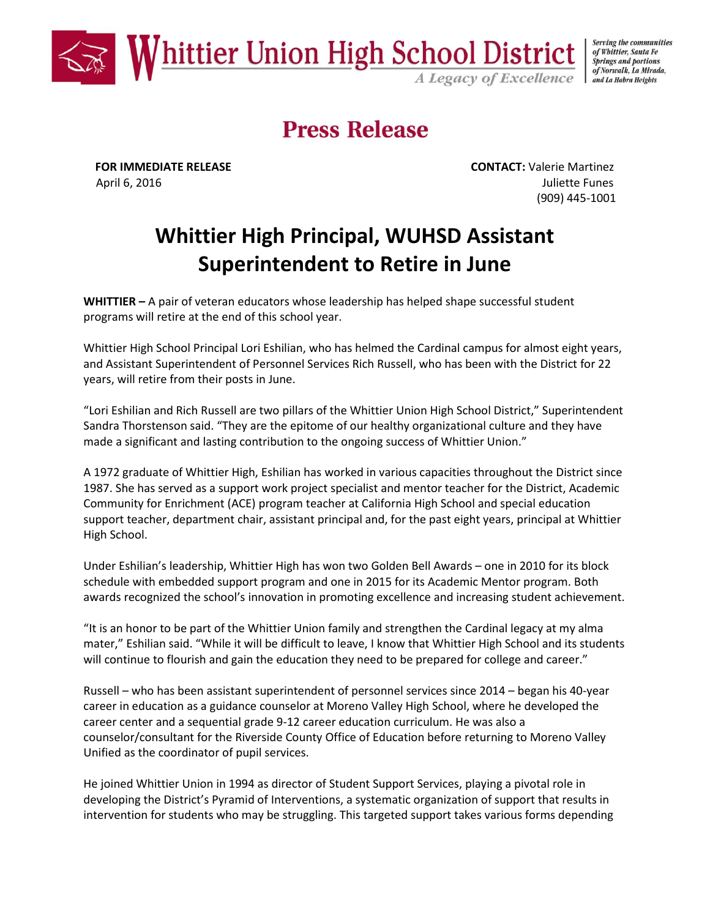

Serving the communities of Whittier, Santa Fe **Springs and portions** of Norwalk, La Mirada, and La Habra Heights

# **Press Release**

**FOR IMMEDIATE RELEASE CONTACT:** Valerie Martinez April 6, 2016 **Juliette Funes** (909) 445-1001

## **Whittier High Principal, WUHSD Assistant Superintendent to Retire in June**

**WHITTIER –** A pair of veteran educators whose leadership has helped shape successful student programs will retire at the end of this school year.

Whittier High School Principal Lori Eshilian, who has helmed the Cardinal campus for almost eight years, and Assistant Superintendent of Personnel Services Rich Russell, who has been with the District for 22 years, will retire from their posts in June.

"Lori Eshilian and Rich Russell are two pillars of the Whittier Union High School District," Superintendent Sandra Thorstenson said. "They are the epitome of our healthy organizational culture and they have made a significant and lasting contribution to the ongoing success of Whittier Union."

A 1972 graduate of Whittier High, Eshilian has worked in various capacities throughout the District since 1987. She has served as a support work project specialist and mentor teacher for the District, Academic Community for Enrichment (ACE) program teacher at California High School and special education support teacher, department chair, assistant principal and, for the past eight years, principal at Whittier High School.

Under Eshilian's leadership, Whittier High has won two Golden Bell Awards – one in 2010 for its block schedule with embedded support program and one in 2015 for its Academic Mentor program. Both awards recognized the school's innovation in promoting excellence and increasing student achievement.

"It is an honor to be part of the Whittier Union family and strengthen the Cardinal legacy at my alma mater," Eshilian said. "While it will be difficult to leave, I know that Whittier High School and its students will continue to flourish and gain the education they need to be prepared for college and career."

Russell – who has been assistant superintendent of personnel services since 2014 – began his 40-year career in education as a guidance counselor at Moreno Valley High School, where he developed the career center and a sequential grade 9-12 career education curriculum. He was also a counselor/consultant for the Riverside County Office of Education before returning to Moreno Valley Unified as the coordinator of pupil services.

He joined Whittier Union in 1994 as director of Student Support Services, playing a pivotal role in developing the District's Pyramid of Interventions, a systematic organization of support that results in intervention for students who may be struggling. This targeted support takes various forms depending